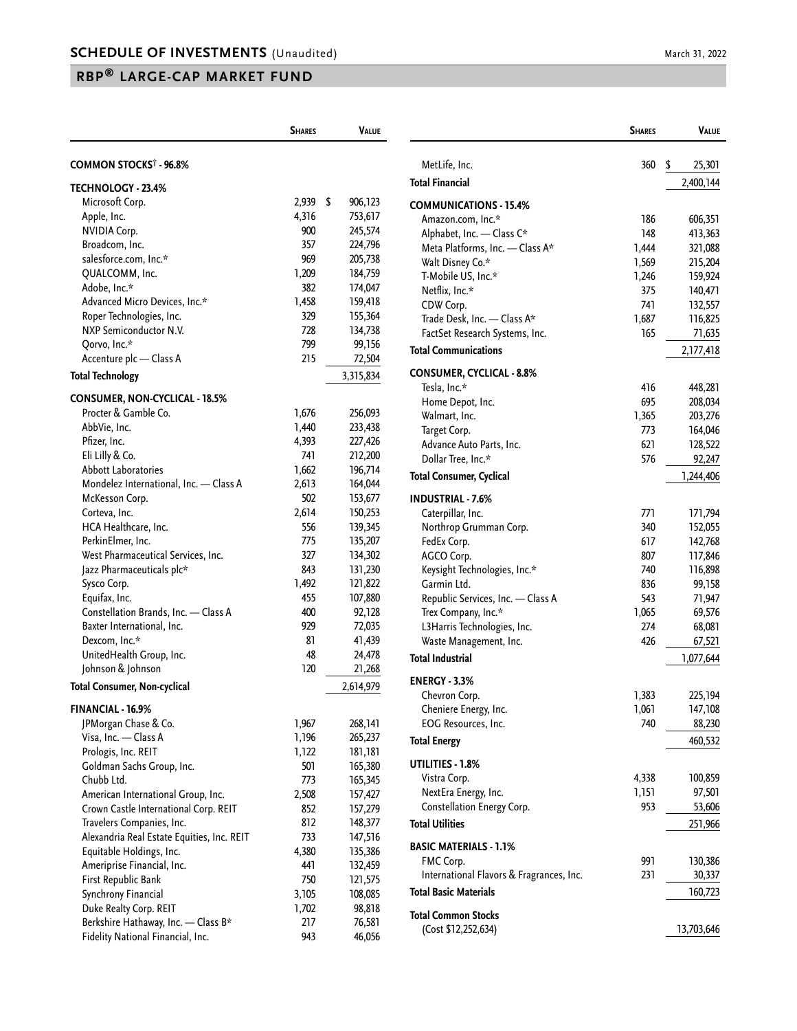## **RBP® LARGE-CAP MARKET FUND**

|                                            | <b>SHARES</b> | <b>VALUE</b>  |
|--------------------------------------------|---------------|---------------|
| COMMON STOCKS <sup>†</sup> - 96.8%         |               |               |
| <b>TECHNOLOGY - 23.4%</b>                  |               |               |
| Microsoft Corp.                            | 2,939         | \$<br>906,123 |
| Apple, Inc.                                | 4,316         | 753,617       |
| <b>NVIDIA Corp.</b>                        | 900           | 245,574       |
| Broadcom, Inc.                             | 357           | 224,796       |
| salesforce.com, Inc.*                      | 969           | 205,738       |
| QUALCOMM, Inc.                             | 1,209         | 184,759       |
| Adobe, Inc.*                               | 382           | 174,047       |
| Advanced Micro Devices, Inc.*              | 1,458         | 159,418       |
| Roper Technologies, Inc.                   | 329           | 155,364       |
| NXP Semiconductor N.V.                     | 728           | 134,738       |
| Qorvo, Inc.*                               | 799           | 99,156        |
| Accenture plc - Class A                    | 215           | 72,504        |
| <b>Total Technology</b>                    |               | 3,315,834     |
| <b>CONSUMER, NON-CYCLICAL - 18.5%</b>      |               |               |
| Procter & Gamble Co.                       | 1,676         | 256,093       |
| AbbVie, Inc.                               | 1,440         | 233,438       |
| Pfizer, Inc.                               | 4,393         | 227,426       |
| Eli Lilly & Co.                            | 741           | 212,200       |
| <b>Abbott Laboratories</b>                 | 1,662         | 196,714       |
| Mondelez International, Inc. - Class A     | 2,613         | 164,044       |
| McKesson Corp.                             | 502           | 153,677       |
| Corteva, Inc.                              | 2,614         | 150,253       |
| HCA Healthcare, Inc.                       | 556           | 139,345       |
| PerkinElmer, Inc.                          | 775           | 135,207       |
| West Pharmaceutical Services, Inc.         | 327           | 134,302       |
| Jazz Pharmaceuticals plc*                  | 843           | 131,230       |
| Sysco Corp.                                | 1,492         | 121,822       |
| Equifax, Inc.                              | 455           | 107,880       |
| Constellation Brands, Inc. - Class A       | 400           | 92,128        |
| Baxter International, Inc.                 | 929           | 72,035        |
| Dexcom, Inc.*                              | 81            | 41,439        |
| UnitedHealth Group, Inc.                   | 48            | 24,478        |
| Johnson & Johnson                          | 120           | 21,268        |
| <b>Total Consumer, Non-cyclical</b>        |               | 2,614,979     |
| FINANCIAL - 16.9%                          |               |               |
| JPMorgan Chase & Co.                       | 1,967         | 268,141       |
| Visa, Inc. - Class A                       | 1,196         | 265,237       |
| Prologis, Inc. REIT                        | 1,122         | 181,181       |
| Goldman Sachs Group, Inc.                  | 501           | 165,380       |
| Chubb Ltd.                                 | 773           | 165,345       |
| American International Group, Inc.         | 2,508         | 157,427       |
| Crown Castle International Corp. REIT      | 852           | 157,279       |
| Travelers Companies, Inc.                  | 812           | 148,377       |
| Alexandria Real Estate Equities, Inc. REIT | 733           | 147,516       |
| Equitable Holdings, Inc.                   | 4,380         | 135,386       |
| Ameriprise Financial, Inc.                 | 441           | 132,459       |
| First Republic Bank                        | 750           | 121,575       |
| Synchrony Financial                        | 3,105         | 108,085       |
| Duke Realty Corp. REIT                     | 1,702         | 98,818        |
| Berkshire Hathaway, Inc. - Class B*        | 217           | 76,581        |
| Fidelity National Financial, Inc.          | 943           | 46,056        |

|                                          | <b>SHARES</b> | VALUE        |
|------------------------------------------|---------------|--------------|
| MetLife, Inc.                            | 360           | \$<br>25,301 |
| <b>Total Financial</b>                   |               | 2,400,144    |
| <b>COMMUNICATIONS - 15.4%</b>            |               |              |
| Amazon.com, Inc.*                        | 186           | 606,351      |
| Alphabet, Inc. - Class C*                | 148           | 413,363      |
| Meta Platforms, Inc. - Class A*          | 1,444         | 321,088      |
| Walt Disney Co.*                         | 1,569         | 215,204      |
| T-Mobile US, Inc.*                       | 1,246         | 159,924      |
| Netflix, Inc.*                           | 375           | 140,471      |
| CDW Corp.                                | 741           | 132,557      |
| Trade Desk, Inc. - Class A*              | 1,687         | 116,825      |
| FactSet Research Systems, Inc.           | 165           | 71,635       |
| <b>Total Communications</b>              |               | 2,177,418    |
| <b>CONSUMER, CYCLICAL - 8.8%</b>         |               |              |
| Tesla, Inc.*                             | 416           | 448,281      |
| Home Depot, Inc.                         | 695           | 208,034      |
| Walmart, Inc.                            | 1,365         | 203,276      |
| Target Corp.                             | 773           | 164,046      |
| Advance Auto Parts, Inc.                 | 621           | 128,522      |
| Dollar Tree, Inc.*                       | 576           | 92,247       |
| <b>Total Consumer, Cyclical</b>          |               | 1,244,406    |
| <b>INDUSTRIAL - 7.6%</b>                 |               |              |
| Caterpillar, Inc.                        | 771           | 171,794      |
| Northrop Grumman Corp.                   | 340           | 152,055      |
| FedEx Corp.                              | 617           | 142,768      |
| AGCO Corp.                               | 807           | 117,846      |
| Keysight Technologies, Inc.*             | 740           | 116,898      |
| Garmin Ltd.                              | 836           | 99,158       |
| Republic Services, Inc. - Class A        | 543           | 71,947       |
| Trex Company, Inc.*                      | 1,065         | 69,576       |
| L3Harris Technologies, Inc.              | 274           | 68,081       |
| Waste Management, Inc.                   | 426           | 67,521       |
| <b>Total Industrial</b>                  |               | 1,077,644    |
| <b>ENERGY - 3.3%</b>                     |               |              |
| Chevron Corp.                            | 1,383         | 225,194      |
| Cheniere Energy, Inc.                    | 1,061         | 147,108      |
| EOG Resources, Inc.                      | 740           | 88,230       |
| <b>Total Energy</b>                      |               | 460,532      |
| UTILITIES - 1.8%                         |               |              |
| Vistra Corp.                             | 4,338         | 100,859      |
| NextEra Energy, Inc.                     | 1,151         | 97,501       |
| Constellation Energy Corp.               | 953           | 53,606       |
| <b>Total Utilities</b>                   |               | 251,966      |
|                                          |               |              |
| <b>BASIC MATERIALS - 1.1%</b>            |               |              |
| FMC Corp.                                | 991           | 130,386      |
| International Flavors & Fragrances, Inc. | 231           | 30,337       |
| <b>Total Basic Materials</b>             |               | 160,723      |
| <b>Total Common Stocks</b>               |               |              |
| (Cost \$12,252,634)                      |               | 13,703,646   |